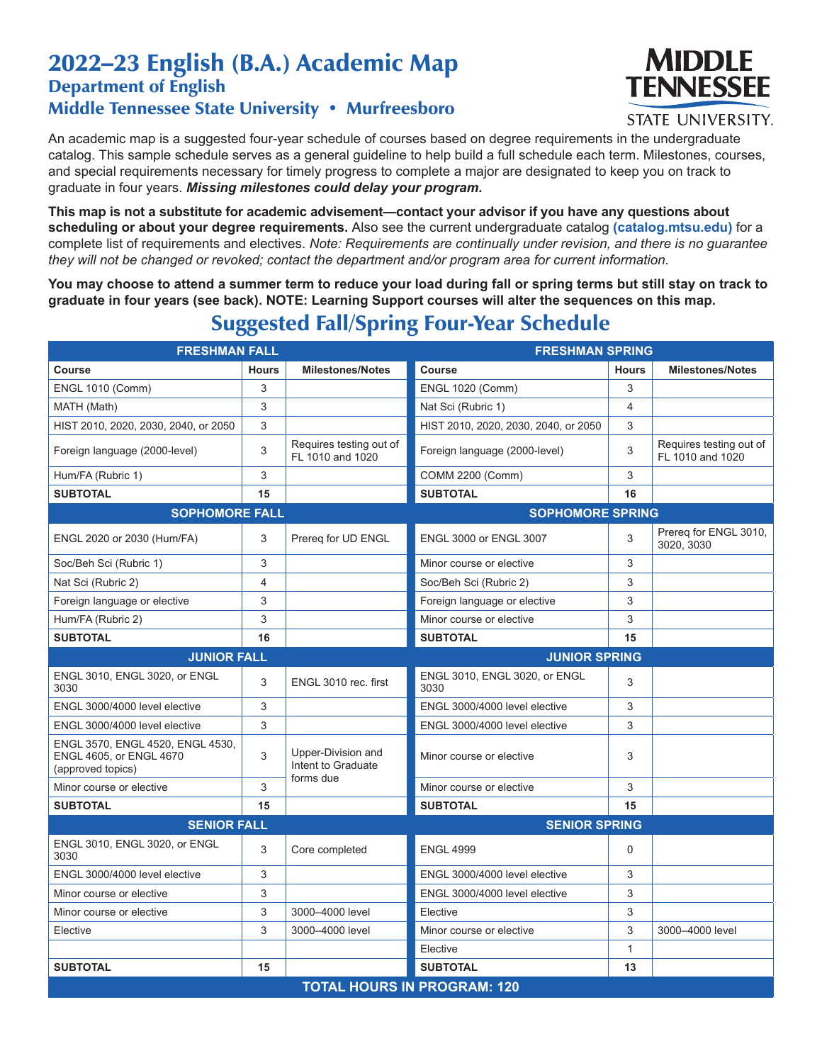## 2022–23 English (B.A.) Academic Map Department of English Middle Tennessee State University • Murfreesboro



**STATE UNIVERSITY.** 

An academic map is a suggested four-year schedule of courses based on degree requirements in the undergraduate catalog. This sample schedule serves as a general guideline to help build a full schedule each term. Milestones, courses, and special requirements necessary for timely progress to complete a major are designated to keep you on track to graduate in four years. *Missing milestones could delay your program.*

**This map is not a substitute for academic advisement—contact your advisor if you have any questions about scheduling or about your degree requirements.** Also see the current undergraduate catalog **(catalog.mtsu.edu)** for a complete list of requirements and electives. *Note: Requirements are continually under revision, and there is no guarantee they will not be changed or revoked; contact the department and/or program area for current information.*

**You may choose to attend a summer term to reduce your load during fall or spring terms but still stay on track to graduate in four years (see back). NOTE: Learning Support courses will alter the sequences on this map.**

| <b>FRESHMAN FALL</b>                                                             |              |                                                       | <b>FRESHMAN SPRING</b>                |              |                                             |  |
|----------------------------------------------------------------------------------|--------------|-------------------------------------------------------|---------------------------------------|--------------|---------------------------------------------|--|
| Course                                                                           | <b>Hours</b> | <b>Milestones/Notes</b>                               | <b>Course</b>                         | <b>Hours</b> | <b>Milestones/Notes</b>                     |  |
| <b>ENGL 1010 (Comm)</b>                                                          | 3            |                                                       | <b>ENGL 1020 (Comm)</b>               | 3            |                                             |  |
| MATH (Math)                                                                      | 3            |                                                       | Nat Sci (Rubric 1)                    | 4            |                                             |  |
| HIST 2010, 2020, 2030, 2040, or 2050                                             | 3            |                                                       | HIST 2010, 2020, 2030, 2040, or 2050  | 3            |                                             |  |
| Foreign language (2000-level)                                                    | 3            | Requires testing out of<br>FL 1010 and 1020           | Foreign language (2000-level)         | 3            | Requires testing out of<br>FL 1010 and 1020 |  |
| Hum/FA (Rubric 1)                                                                | 3            |                                                       | <b>COMM 2200 (Comm)</b>               | 3            |                                             |  |
| <b>SUBTOTAL</b>                                                                  | 15           |                                                       | <b>SUBTOTAL</b>                       | 16           |                                             |  |
| <b>SOPHOMORE FALL</b>                                                            |              |                                                       | <b>SOPHOMORE SPRING</b>               |              |                                             |  |
| ENGL 2020 or 2030 (Hum/FA)                                                       | 3            | Prereg for UD ENGL                                    | <b>ENGL 3000 or ENGL 3007</b>         | 3            | Prereg for ENGL 3010,<br>3020, 3030         |  |
| Soc/Beh Sci (Rubric 1)                                                           | 3            |                                                       | Minor course or elective              | 3            |                                             |  |
| Nat Sci (Rubric 2)                                                               | 4            |                                                       | Soc/Beh Sci (Rubric 2)                | 3            |                                             |  |
| Foreign language or elective                                                     | 3            |                                                       | Foreign language or elective          | 3            |                                             |  |
| Hum/FA (Rubric 2)                                                                | 3            |                                                       | Minor course or elective              | 3            |                                             |  |
| <b>SUBTOTAL</b>                                                                  | 16           |                                                       | <b>SUBTOTAL</b>                       | 15           |                                             |  |
| <b>JUNIOR FALL</b>                                                               |              |                                                       | <b>JUNIOR SPRING</b>                  |              |                                             |  |
| ENGL 3010, ENGL 3020, or ENGL<br>3030                                            | 3            | ENGL 3010 rec. first                                  | ENGL 3010, ENGL 3020, or ENGL<br>3030 | 3            |                                             |  |
| ENGL 3000/4000 level elective                                                    | 3            |                                                       | ENGL 3000/4000 level elective         | 3            |                                             |  |
| ENGL 3000/4000 level elective                                                    | 3            |                                                       | ENGL 3000/4000 level elective         | 3            |                                             |  |
| ENGL 3570, ENGL 4520, ENGL 4530,<br>ENGL 4605, or ENGL 4670<br>(approved topics) | 3            | Upper-Division and<br>Intent to Graduate<br>forms due | Minor course or elective              | 3            |                                             |  |
| Minor course or elective                                                         | 3            |                                                       | Minor course or elective              | 3            |                                             |  |
| <b>SUBTOTAL</b>                                                                  | 15           |                                                       | <b>SUBTOTAL</b>                       | 15           |                                             |  |
| <b>SENIOR FALL</b>                                                               |              |                                                       | <b>SENIOR SPRING</b>                  |              |                                             |  |
| ENGL 3010, ENGL 3020, or ENGL<br>3030                                            | 3            | Core completed                                        | <b>ENGL 4999</b>                      | 0            |                                             |  |
| ENGL 3000/4000 level elective                                                    | 3            |                                                       | ENGL 3000/4000 level elective         | 3            |                                             |  |
| Minor course or elective                                                         | 3            |                                                       | ENGL 3000/4000 level elective         | 3            |                                             |  |
| Minor course or elective                                                         | 3            | 3000-4000 level                                       | Elective                              | 3            |                                             |  |
| Elective                                                                         | 3            | 3000-4000 level                                       | Minor course or elective              | 3            | 3000-4000 level                             |  |
|                                                                                  |              |                                                       | Elective                              | $\mathbf{1}$ |                                             |  |
| <b>SUBTOTAL</b>                                                                  | 15           |                                                       | <b>SUBTOTAL</b>                       | 13           |                                             |  |
|                                                                                  |              |                                                       | <b>TOTAL HOURS IN PROGRAM: 120</b>    |              |                                             |  |

## Suggested Fall/Spring Four-Year Schedule